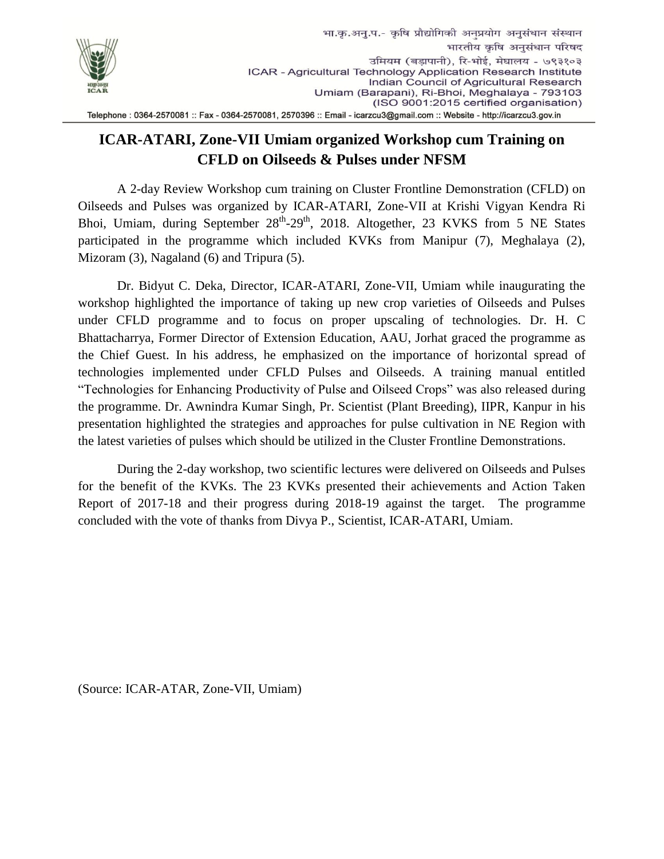

## Telephone: 0364-2570081:: Fax - 0364-2570081, 2570396:: Email - icarzcu3@gmail.com:: Website - http://icarzcu3.gov.in

## **ICAR-ATARI, Zone-VII Umiam organized Workshop cum Training on CFLD on Oilseeds & Pulses under NFSM**

A 2-day Review Workshop cum training on Cluster Frontline Demonstration (CFLD) on Oilseeds and Pulses was organized by ICAR-ATARI, Zone-VII at Krishi Vigyan Kendra Ri Bhoi, Umiam, during September 28<sup>th</sup>-29<sup>th</sup>, 2018. Altogether, 23 KVKS from 5 NE States participated in the programme which included KVKs from Manipur (7), Meghalaya (2), Mizoram (3), Nagaland (6) and Tripura (5).

Dr. Bidyut C. Deka, Director, ICAR-ATARI, Zone-VII, Umiam while inaugurating the workshop highlighted the importance of taking up new crop varieties of Oilseeds and Pulses under CFLD programme and to focus on proper upscaling of technologies. Dr. H. C Bhattacharrya, Former Director of Extension Education, AAU, Jorhat graced the programme as the Chief Guest. In his address, he emphasized on the importance of horizontal spread of technologies implemented under CFLD Pulses and Oilseeds. A training manual entitled "Technologies for Enhancing Productivity of Pulse and Oilseed Crops" was also released during the programme. Dr. Awnindra Kumar Singh, Pr. Scientist (Plant Breeding), IIPR, Kanpur in his presentation highlighted the strategies and approaches for pulse cultivation in NE Region with the latest varieties of pulses which should be utilized in the Cluster Frontline Demonstrations.

During the 2-day workshop, two scientific lectures were delivered on Oilseeds and Pulses for the benefit of the KVKs. The 23 KVKs presented their achievements and Action Taken Report of 2017-18 and their progress during 2018-19 against the target. The programme concluded with the vote of thanks from Divya P., Scientist, ICAR-ATARI, Umiam.

(Source: ICAR-ATAR, Zone-VII, Umiam)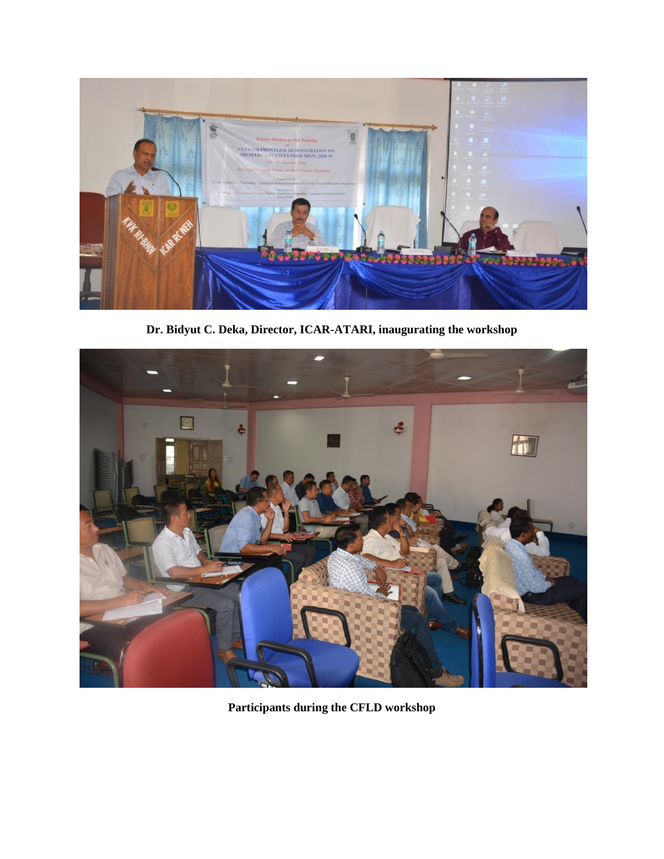

**Dr. Bidyut C. Deka, Director, ICAR-ATARI, inaugurating the workshop**



**Participants during the CFLD workshop**